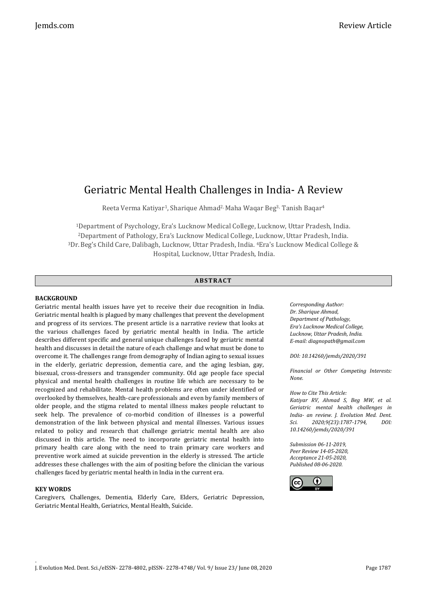# Geriatric Mental Health Challenges in India- A Review

Reeta Verma Katiyar<sup>1</sup>, Sharique Ahmad<sup>2,</sup> Maha Waqar Beg<sup>3,</sup> Tanish Baqar<sup>4</sup>

Department of Psychology, Era's Lucknow Medical College, Lucknow, Uttar Pradesh, India. Department of Pathology, Era's Lucknow Medical College, Lucknow, Uttar Pradesh, India. Dr.Beg's Child Care, Dalibagh, Lucknow, Uttar Pradesh, India. <sup>4</sup>Era's Lucknow Medical College & Hospital, Lucknow, Uttar Pradesh, India.

## **ABS TR ACT**

## **BACKGROUND**

Geriatric mental health issues have yet to receive their due recognition in India. Geriatric mental health is plagued by many challenges that prevent the development and progress of its services. The present article is a narrative review that looks at the various challenges faced by geriatric mental health in India. The article describes different specific and general unique challenges faced by geriatric mental health and discusses in detail the nature of each challenge and what must be done to overcome it. The challenges range from demography of Indian aging to sexual issues in the elderly, geriatric depression, dementia care, and the aging lesbian, gay, bisexual, cross-dressers and transgender community. Old age people face special physical and mental health challenges in routine life which are necessary to be recognized and rehabilitate. Mental health problems are often under identified or overlooked by themselves, health-care professionals and even by family members of older people, and the stigma related to mental illness makes people reluctant to seek help. The prevalence of co-morbid condition of illnesses is a powerful demonstration of the link between physical and mental illnesses. Various issues related to policy and research that challenge geriatric mental health are also discussed in this article. The need to incorporate geriatric mental health into primary health care along with the need to train primary care workers and preventive work aimed at suicide prevention in the elderly is stressed. The article addresses these challenges with the aim of positing before the clinician the various challenges faced by geriatric mental health in India in the current era.

## **KEY WORDS**

.

Caregivers, Challenges, Dementia, Elderly Care, Elders, Geriatric Depression, Geriatric Mental Health, Geriatrics, Mental Health, Suicide.

*Corresponding Author: Dr. Sharique Ahmad, Department of Pathology, Era's Lucknow Medical College, Lucknow, Uttar Pradesh, India. E-mail: diagnopath@gmail.com*

*DOI: 10.14260/jemds/2020/391*

*Financial or Other Competing Interests: None.*

*How to Cite This Article:*

*Katiyar RV, Ahmad S, Beg MW, et al. Geriatric mental health challenges in India- an review. J. Evolution Med. Dent. Sci. 2020;9(23):1787-1794, DOI: 10.14260/jemds/2020/391*

*Submission 06-11-2019, Peer Review 14-05-2020, Acceptance 21-05-2020, Published 08-06-2020.*

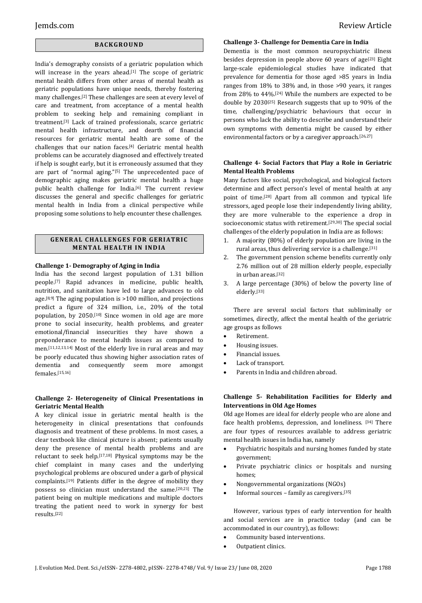## **BACK GR O U ND**

India's demography consists of a geriatric population which will increase in the years ahead.<sup>[1]</sup> The scope of geriatric mental health differs from other areas of mental health as geriatric populations have unique needs, thereby fostering many challenges.[2] These challenges are seen at every level of care and treatment, from acceptance of a mental health problem to seeking help and remaining compliant in treatment.[3] Lack of trained professionals, scarce geriatric mental health infrastructure, and dearth of financial resources for geriatric mental health are some of the challenges that our nation faces.[4] Geriatric mental health problems can be accurately diagnosed and effectively treated if help is sought early, but it is erroneously assumed that they are part of "normal aging."[5] The unprecedented pace of demographic aging makes geriatric mental health a huge public health challenge for India.<sup>[6]</sup> The current review discusses the general and specific challenges for geriatric mental health in India from a clinical perspective while proposing some solutions to help encounter these challenges.

## **GENERAL CHALLENGES FOR GERIATRIC MENTAL HEALTH IN INDIA**

## **Challenge 1- Demography of Aging in India**

India has the second largest population of 1.31 billion people.[7] Rapid advances in medicine, public health, nutrition, and sanitation have led to large advances to old age.<sup>[8,9]</sup> The aging population is  $>100$  million, and projections predict a figure of 324 million, i.e., 20% of the total population, by 2050.[10] Since women in old age are more prone to social insecurity, health problems, and greater emotional/financial insecurities they have shown a preponderance to mental health issues as compared to men.[11,12,13,14] Most of the elderly live in rural areas and may be poorly educated thus showing higher association rates of dementia and consequently seem more amongst females.[15,16]

## **Challenge 2- Heterogeneity of Clinical Presentations in Geriatric Mental Health**

A key clinical issue in geriatric mental health is the heterogeneity in clinical presentations that confounds diagnosis and treatment of these problems. In most cases, a clear textbook like clinical picture is absent; patients usually deny the presence of mental health problems and are reluctant to seek help.[17,18] Physical symptoms may be the chief complaint in many cases and the underlying psychological problems are obscured under a garb of physical complaints.[19] Patients differ in the degree of mobility they possess so clinician must understand the same.[20,21] The patient being on multiple medications and multiple doctors treating the patient need to work in synergy for best results.[22]

## **Challenge 3- Challenge for Dementia Care in India**

Dementia is the most common neuropsychiatric illness besides depression in people above 60 years of age<sup>[23]</sup> Eight large-scale epidemiological studies have indicated that prevalence for dementia for those aged >85 years in India ranges from 18% to 38% and, in those >90 years, it ranges from 28% to 44%.[24] While the numbers are expected to be double by 2030[25] Research suggests that up to 90% of the time, challenging/psychiatric behaviours that occur in persons who lack the ability to describe and understand their own symptoms with dementia might be caused by either environmental factors or by a caregiver approach.[26,27]

## **Challenge 4- Social Factors that Play a Role in Geriatric Mental Health Problems**

Many factors like social, psychological, and biological factors determine and affect person's level of mental health at any point of time.[28] Apart from all common and typical life stressors, aged people lose their independently living ability, they are more vulnerable to the experience a drop in socioeconomic status with retirement.<sup>[29,30]</sup> The special social challenges of the elderly population in India are as follows:

- 1. A majority (80%) of elderly population are living in the rural areas, thus delivering service is a challenge.[31]
- 2. The government pension scheme benefits currently only 2.76 million out of 28 million elderly people, especially in urban areas.[32]
- 3. A large percentage (30%) of below the poverty line of elderly.[33]

There are several social factors that subliminally or sometimes, directly, affect the mental health of the geriatric age groups as follows

- Retirement.
- Housing issues.
- Financial issues.
- Lack of transport.
- Parents in India and children abroad.

## **Challenge 5- Rehabilitation Facilities for Elderly and Interventions in Old Age Homes**

Old age Homes are ideal for elderly people who are alone and face health problems, depression, and loneliness. [34] There are four types of resources available to address geriatric mental health issues in India has, namely

- Psychiatric hospitals and nursing homes funded by state government;
- Private psychiatric clinics or hospitals and nursing homes;
- Nongovernmental organizations (NGOs)
- Informal sources family as caregivers.[35]

However, various types of early intervention for health and social services are in practice today (and can be accommodated in our country), as follows:

- Community based interventions.
- Outpatient clinics.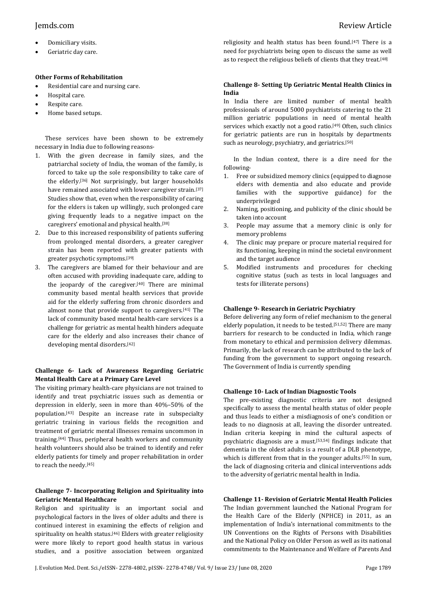- Domiciliary visits.
- Geriatric day care.

## **Other Forms of Rehabilitation**

- Residential care and nursing care.
- Hospital care.
- Respite care.
- Home based setups.

These services have been shown to be extremely necessary in India due to following reasons-

- 1. With the given decrease in family sizes, and the patriarchal society of India, the woman of the family, is forced to take up the sole responsibility to take care of the elderly.[36] Not surprisingly, but larger households have remained associated with lower caregiver strain.<sup>[37]</sup> Studies show that, even when the responsibility of caring for the elders is taken up willingly, such prolonged care giving frequently leads to a negative impact on the caregivers' emotional and physical health.[38]
- 2. Due to this increased responsibility of patients suffering from prolonged mental disorders, a greater caregiver strain has been reported with greater patients with greater psychotic symptoms.[39]
- 3. The caregivers are blamed for their behaviour and are often accused with providing inadequate care, adding to the jeopardy of the caregiver. $[40]$  There are minimal community based mental health services that provide aid for the elderly suffering from chronic disorders and almost none that provide support to caregivers.[41] The lack of community based mental health-care services is a challenge for geriatric as mental health hinders adequate care for the elderly and also increases their chance of developing mental disorders.[42]

## **Challenge 6- Lack of Awareness Regarding Geriatric Mental Health Care at a Primary Care Level**

The visiting primary health-care physicians are not trained to identify and treat psychiatric issues such as dementia or depression in elderly, seen in more than 40%–50% of the population.[43] Despite an increase rate in subspecialty geriatric training in various fields the recognition and treatment of geriatric mental illnesses remains uncommon in training.[44] Thus, peripheral health workers and community health volunteers should also be trained to identify and refer elderly patients for timely and proper rehabilitation in order to reach the needy.[45]

## **Challenge 7- Incorporating Religion and Spirituality into Geriatric Mental Healthcare**

Religion and spirituality is an important social and psychological factors in the lives of older adults and there is continued interest in examining the effects of religion and spirituality on health status.<sup>[46]</sup> Elders with greater religiosity were more likely to report good health status in various studies, and a positive association between organized religiosity and health status has been found.[47] There is a need for psychiatrists being open to discuss the same as well as to respect the religious beliefs of clients that they treat.[48]

## **Challenge 8- Setting Up Geriatric Mental Health Clinics in India**

In India there are limited number of mental health professionals of around 5000 psychiatrists catering to the 21 million geriatric populations in need of mental health services which exactly not a good ratio.<sup>[49]</sup> Often, such clinics for geriatric patients are run in hospitals by departments such as neurology, psychiatry, and geriatrics.<sup>[50]</sup>

In the Indian context, there is a dire need for the following-

- 1. Free or subsidized memory clinics (equipped to diagnose elders with dementia and also educate and provide families with the supportive guidance) for the underprivileged
- 2. Naming, positioning, and publicity of the clinic should be taken into account
- 3. People may assume that a memory clinic is only for memory problems
- 4. The clinic may prepare or procure material required for its functioning, keeping in mind the societal environment and the target audience
- 5. Modified instruments and procedures for checking cognitive status (such as tests in local languages and tests for illiterate persons)

## **Challenge 9- Research in Geriatric Psychiatry**

Before delivering any form of relief mechanism to the general elderly population, it needs to be tested.[51,52] There are many barriers for research to be conducted in India, which range from monetary to ethical and permission delivery dilemmas. Primarily, the lack of research can be attributed to the lack of funding from the government to support ongoing research. The Government of India is currently spending

## **Challenge 10- Lack of Indian Diagnostic Tools**

The pre-existing diagnostic criteria are not designed specifically to assess the mental health status of older people and thus leads to either a misdiagnosis of one's condition or leads to no diagnosis at all, leaving the disorder untreated. Indian criteria keeping in mind the cultural aspects of psychiatric diagnosis are a must.[53,54] findings indicate that dementia in the oldest adults is a result of a DLB phenotype, which is different from that in the younger adults.<sup>[55]</sup> In sum, the lack of diagnosing criteria and clinical interventions adds to the adversity of geriatric mental health in India.

## **Challenge 11- Revision of Geriatric Mental Health Policies**

The Indian government launched the National Program for the Health Care of the Elderly (NPHCE) in 2011, as an implementation of India's international commitments to the UN Conventions on the Rights of Persons with Disabilities and the National Policy on Older Person as well as its national commitments to the Maintenance and Welfare of Parents And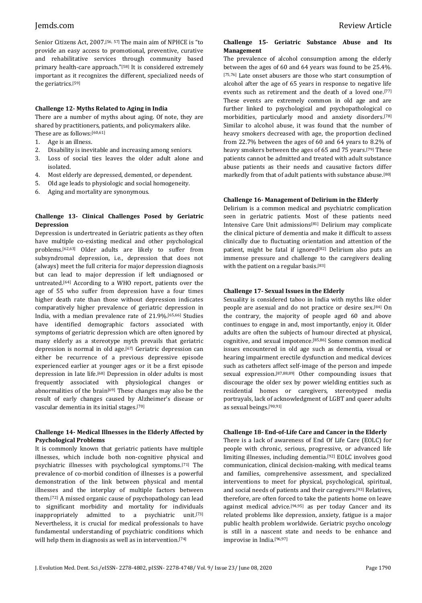Senior Citizens Act, 2007.[56, 57] The main aim of NPHCE is "to provide an easy access to promotional, preventive, curative and rehabilitative services through community based primary health-care approach."<sup>[58]</sup> It is considered extremely important as it recognizes the different, specialized needs of the geriatrics.[59]

## **Challenge 12- Myths Related to Aging in India**

There are a number of myths about aging. Of note, they are shared by practitioners, patients, and policymakers alike. These are as follows:[60,61]

- 1. Age is an illness.
- 2. Disability is inevitable and increasing among seniors.
- 3. Loss of social ties leaves the older adult alone and isolated.
- 4. Most elderly are depressed, demented, or dependent.
- 5. Old age leads to physiologic and social homogeneity.
- 6. Aging and mortality are synonymous.

## **Challenge 13- Clinical Challenges Posed by Geriatric Depression**

Depression is undertreated in Geriatric patients as they often have multiple co-existing medical and other psychological problems.[62,63] Older adults are likely to suffer from subsyndromal depression, i.e., depression that does not (always) meet the full criteria for major depression diagnosis but can lead to major depression if left undiagnosed or untreated.[64] According to a WHO report, patients over the age of 55 who suffer from depression have a four times higher death rate than those without depression indicates comparatively higher prevalence of geriatric depression in India, with a median prevalence rate of 21.9%.[65,66] Studies have identified demographic factors associated with symptoms of geriatric depression which are often ignored by many elderly as a stereotype myth prevails that geriatric depression is normal in old age.<sup>[67]</sup> Geriatric depression can either be recurrence of a previous depressive episode experienced earlier at younger ages or it be a first episode depression in late life.[68] Depression in older adults is most frequently associated with physiological changes or abnormalities of the brain[69] These changes may also be the result of early changes caused by Alzheimer's disease or vascular dementia in its initial stages.[70]

## **Challenge 14- Medical Illnesses in the Elderly Affected by Psychological Problems**

It is commonly known that geriatric patients have multiple illnesses, which include both non-cognitive physical and psychiatric illnesses with psychological symptoms.[71] The prevalence of co-morbid condition of illnesses is a powerful demonstration of the link between physical and mental illnesses and the interplay of multiple factors between them.[72] A missed organic cause of psychopathology can lead to significant morbidity and mortality for individuals inappropriately admitted to a psychiatric unit.[73] Nevertheless, it is crucial for medical professionals to have fundamental understanding of psychiatric conditions which will help them in diagnosis as well as in intervention.<sup>[74]</sup>

## **Challenge 15- Geriatric Substance Abuse and Its Management**

The prevalence of alcohol consumption among the elderly between the ages of 60 and 64 years was found to be 25.4%. [75,76] Late onset abusers are those who start consumption of alcohol after the age of 65 years in response to negative life events such as retirement and the death of a loved one.<sup>[77]</sup> These events are extremely common in old age and are further linked to psychological and psychopathological co morbidities, particularly mood and anxiety disorders.[78] Similar to alcohol abuse, it was found that the number of heavy smokers decreased with age, the proportion declined from 22.7% between the ages of 60 and 64 years to 8.2% of heavy smokers between the ages of 65 and 75 years.<sup>[79]</sup> These patients cannot be admitted and treated with adult substance abuse patients as their needs and causative factors differ markedly from that of adult patients with substance abuse.[80]

## **Challenge 16- Management of Delirium in the Elderly**

Delirium is a common medical and psychiatric complication seen in geriatric patients. Most of these patients need Intensive Care Unit admissions[81] Delirium may complicate the clinical picture of dementia and make it difficult to assess clinically due to fluctuating orientation and attention of the patient, might be fatal if ignored<sup>[82]</sup> Delirium also puts an immense pressure and challenge to the caregivers dealing with the patient on a regular basis.[83]

## **Challenge 17- Sexual Issues in the Elderly**

Sexuality is considered taboo in India with myths like older people are asexual and do not practice or desire sex.[84] On the contrary, the majority of people aged 60 and above continues to engage in and, most importantly, enjoy it. Older adults are often the subjects of humour directed at physical, cognitive, and sexual impotence.[85,86] Some common medical issues encountered in old age such as dementia, visual or hearing impairment erectile dysfunction and medical devices such as catheters affect self-image of the person and impede sexual expression.[87,88,89] Other compounding issues that discourage the older sex by power wielding entities such as residential homes or caregivers, stereotyped media portrayals, lack of acknowledgment of LGBT and queer adults as sexual beings.[90,91]

## **Challenge 18- End-of-Life Care and Cancer in the Elderly**

There is a lack of awareness of End Of Life Care (EOLC) for people with chronic, serious, progressive, or advanced life limiting illnesses, including dementia.[92] EOLC involves good communication, clinical decision-making, with medical teams and families, comprehensive assessment, and specialized interventions to meet for physical, psychological, spiritual, and social needs of patients and their caregivers.[93] Relatives, therefore, are often forced to take the patients home on leave against medical advice.[94,95] as per today Cancer and its related problems like depression, anxiety, fatigue is a major public health problem worldwide. Geriatric psycho oncology is still in a nascent state and needs to be enhance and improvise in India.[96,97]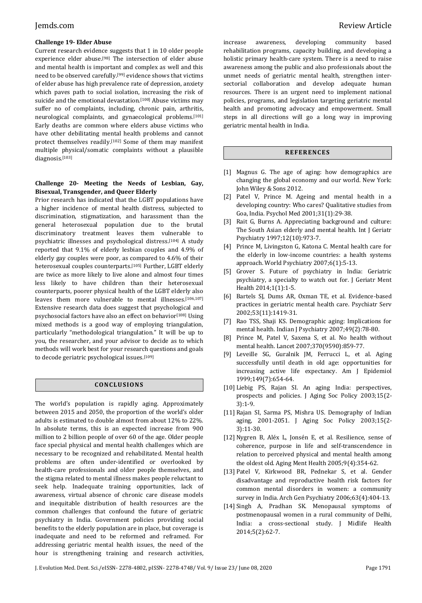## **Challenge 19- Elder Abuse**

Current research evidence suggests that 1 in 10 older people experience elder abuse.[98] The intersection of elder abuse and mental health is important and complex as well and this need to be observed carefully.[99] evidence shows that victims of elder abuse has high prevalence rate of depression, anxiety which paves path to social isolation, increasing the risk of suicide and the emotional devastation.<sup>[100]</sup> Abuse victims may suffer no of complaints, including, chronic pain, arthritis, neurological complaints, and gynaecological problems.[101] Early deaths are common where elders abuse victims who have other debilitating mental health problems and cannot protect themselves readily.[102] Some of them may manifest multiple physical/somatic complaints without a plausible diagnosis.[103]

## **Challenge 20- Meeting the Needs of Lesbian, Gay, Bisexual, Transgender, and Queer Elderly**

Prior research has indicated that the LGBT populations have a higher incidence of mental health distress, subjected to discrimination, stigmatization, and harassment than the general heterosexual population due to the brutal discriminatory treatment leaves them vulnerable to psychiatric illnesses and psychological distress.[104] A study reported that 9.1% of elderly lesbian couples and 4.9% of elderly gay couples were poor, as compared to 4.6% of their heterosexual couples counterparts.[105] Further, LGBT elderly are twice as more likely to live alone and almost four times less likely to have children than their heterosexual counterparts, poorer physical health of the LGBT elderly also leaves them more vulnerable to mental illnesses.[106,107] Extensive research data does suggest that psychological and psychosocial factors have also an effect on behavior<sup>[108]</sup> Using mixed methods is a good way of employing triangulation, particularly "methodological triangulation." It will be up to you, the researcher, and your advisor to decide as to which methods will work best for your research questions and goals to decode geriatric psychological issues.[109]

## **CONC LU S ION S**

The world's population is rapidly aging. Approximately between 2015 and 2050, the proportion of the world's older adults is estimated to double almost from about 12% to 22%. In absolute terms, this is an expected increase from 900 million to 2 billion people of over 60 of the age. Older people face special physical and mental health challenges which are necessary to be recognized and rehabilitated. Mental health problems are often under-identified or overlooked by health-care professionals and older people themselves, and the stigma related to mental illness makes people reluctant to seek help. Inadequate training opportunities, lack of awareness, virtual absence of chronic care disease models and inequitable distribution of health resources are the common challenges that confound the future of geriatric psychiatry in India. Government policies providing social benefits to the elderly population are in place, but coverage is inadequate and need to be reformed and reframed. For addressing geriatric mental health issues, the need of the hour is strengthening training and research activities,

increase awareness, developing community based rehabilitation programs, capacity building, and developing a holistic primary health-care system. There is a need to raise awareness among the public and also professionals about the unmet needs of geriatric mental health, strengthen intersectorial collaboration and develop adequate human resources. There is an urgent need to implement national policies, programs, and legislation targeting geriatric mental health and promoting advocacy and empowerment. Small steps in all directions will go a long way in improving geriatric mental health in India.

## **R EF ER ENC E S**

- [1] Magnus G. The age of aging: how demographics are changing the global economy and our world. New York: John Wiley & Sons 2012.
- [2] Patel V, Prince M. Ageing and mental health in a developing country: Who cares? Qualitative studies from Goa, India. Psychol Med 2001;31(1):29-38.
- [3] Rait G, Burns A. Appreciating background and culture: The South Asian elderly and mental health. Int J Geriatr Psychiatry 1997;12(10):973-7.
- [4] Prince M, Livingston G, Katona C. Mental health care for the elderly in low-income countries: a health systems approach. World Psychiatry 2007;6(1):5-13.
- [5] Grover S. Future of psychiatry in India: Geriatric psychiatry, a specialty to watch out for. J Geriatr Ment Health 2014;1(1):1-5.
- [6] Bartels SJ, Dums AR, Oxman TE, et al. Evidence-based practices in geriatric mental health care. Psychiatr Serv 2002;53(11):1419-31.
- [7] Rao TSS, Shaji KS. Demographic aging: Implications for mental health. Indian J Psychiatry 2007;49(2):78-80.
- [8] Prince M, Patel V, Saxena S, et al. No health without mental health. Lancet 2007;370(9590):859-77.
- [9] Leveille SG, Guralnik JM, Ferrucci L, et al. Aging successfully until death in old age: opportunities for increasing active life expectancy. Am J Epidemiol 1999;149(7):654-64.
- [10] Liebig PS, Rajan SI. An aging India: perspectives, prospects and policies. J Aging Soc Policy 2003;15(2- 3):1-9.
- [11] Rajan SI, Sarma PS, Mishra US. Demography of Indian aging, 2001-2051. J Aging Soc Policy 2003;15(2- 3):11-30.
- [12] Nygren B, Aléx L, Jonsén E, et al. Resilience, sense of coherence, purpose in life and self-transcendence in relation to perceived physical and mental health among the oldest old. Aging Ment Health 2005;9(4):354-62.
- [13] Patel V, Kirkwood BR, Pednekar S, et al. Gender disadvantage and reproductive health risk factors for common mental disorders in women: a community survey in India. Arch Gen Psychiatry 2006;63(4):404-13.
- [14] Singh A, Pradhan SK. Menopausal symptoms of postmenopausal women in a rural community of Delhi, India: a cross-sectional study. J Midlife Health 2014;5(2):62-7.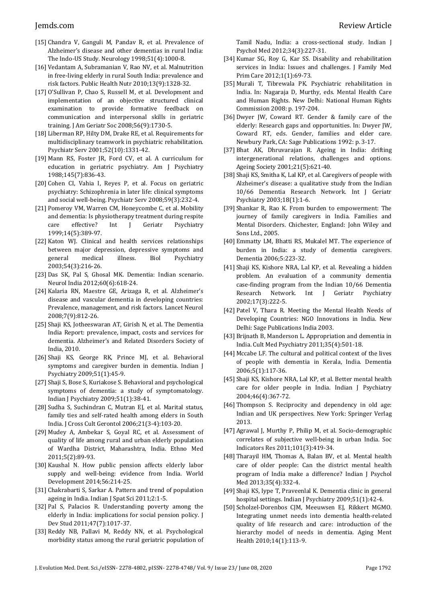- [15] Chandra V, Ganguli M, Pandav R, et al. Prevalence of Alzheimer's disease and other dementias in rural India: The Indo-US Study. Neurology 1998;51(4):1000-8.
- [16] Vedantam A, Subramanian V, Rao NV, et al. Malnutrition in free-living elderly in rural South India: prevalence and risk factors. Public Health Nutr 2010;13(9):1328-32.
- [17] O'Sullivan P, Chao S, Russell M, et al. Development and implementation of an objective structured clinical examination to provide formative feedback on communication and interpersonal skills in geriatric training. J Am Geriatr Soc 2008;56(9):1730-5.
- [18] Liberman RP, Hilty DM, Drake RE, et al. Requirements for multidisciplinary teamwork in psychiatric rehabilitation. Psychiatr Serv 2001;52(10):1331-42.
- [19] Mann RS, Foster JR, Ford CV, et al. A curriculum for education in geriatric psychiatry. Am J Psychiatry 1988;145(7):836-43.
- [20] Cohen CI, Vahia I, Reyes P, et al. Focus on geriatric psychiatry: Schizophrenia in later life: clinical symptoms and social well-being. Psychiatr Serv 2008;59(3):232-4.
- [21] Pomeroy VM, Warren CM, Honeycombe C, et al. Mobility and dementia: Is physiotherapy treatment during respite care effective? Int J Geriatr Psychiatry 1999;14(5):389-97.
- [22] Katon WJ. Clinical and health services relationships between major depression, depressive symptoms and general medical illness. Biol Psychiatry 2003;54(3):216-26.
- [23] Das SK, Pal S, Ghosal MK. Dementia: Indian scenario. Neurol India 2012;60(6):618-24.
- [24] Kalaria RN, Maestre GE, Arizaga R, et al. Alzheimer's disease and vascular dementia in developing countries: Prevalence, management, and risk factors. Lancet Neurol 2008;7(9):812-26.
- [25] Shaji KS, Jotheeswaran AT, Girish N, et al. The Dementia India Report: prevalence, impact, costs and services for dementia. Alzheimer's and Related Disorders Society of India, 2010.
- [26] Shaji KS, George RK, Prince MJ, et al. Behavioral symptoms and caregiver burden in dementia. Indian J Psychiatry 2009;51(1):45-9.
- [27] Shaji S, Bose S, Kuriakose S. Behavioral and psychological symptoms of dementia: a study of symptomatology. Indian J Psychiatry 2009;51(1):38-41.
- [28] Sudha S, Suchindran C, Mutran EJ, et al. Marital status, family ties and self-rated health among elders in South India. J Cross Cult Gerontol 2006;21(3-4):103-20.
- [29] Mudey A, Ambekar S, Goyal RC, et al. Assessment of quality of life among rural and urban elderly population of Wardha District, Maharashtra, India. Ethno Med 2011;5(2):89-93.
- [30] Kaushal N. How public pension affects elderly labor supply and well-being: evidence from India. World Development 2014;56:214-25.
- [31] Chakrabarti S, Sarkar A. Pattern and trend of population ageing in India. Indian J Spat Sci 2011;2:1-5.
- [32] Pal S, Palacios R. Understanding poverty among the elderly in India: implications for social pension policy. J Dev Stud 2011;47(7):1017-37.
- [33] Reddy NB, Pallavi M, Reddy NN, et al. Psychological morbidity status among the rural geriatric population of

Tamil Nadu, India: a cross-sectional study. Indian J Psychol Med 2012;34(3):227-31.

- [34] Kumar SG, Roy G, Kar SS. Disability and rehabilitation services in India: Issues and challenges. J Family Med Prim Care 2012;1(1):69-73.
- [35] Murali T, Tibrewala PK. Psychiatric rehabilitation in India. In: Nagaraja D, Murthy, eds. Mental Health Care and Human Rights. New Delhi: National Human Rights Commission 2008: p. 197-204.
- [36] Dwyer JW, Coward RT. Gender & family care of the elderly: Research gaps and opportunities. In: Dwyer JW, Coward RT, eds. Gender, families and elder care. Newbury Park, CA: Sage Publications 1992: p. 3-17.
- [37] Bhat AK, Dhruvarajan R. Ageing in India: drifting intergenerational relations, challenges and options. Ageing Society 2001;21(5):621-40.
- [38] Shaji KS, Smitha K, Lal KP, et al. Caregivers of people with Alzheimer's disease: a qualitative study from the Indian 10/66 Dementia Research Network. Int J Geriatr Psychiatry 2003;18(1):1-6.
- [39] Shankar R, Rao K. From burden to empowerment: The journey of family caregivers in India. Families and Mental Disorders. Chichester, England: John Wiley and Sons Ltd., 2005.
- [40] Emmatty LM, Bhatti RS, Mukalel MT. The experience of burden in India: a study of dementia caregivers. Dementia 2006;5:223-32.
- [41] Shaji KS, Kishore NRA, Lal KP, et al. Revealing a hidden problem. An evaluation of a community dementia case-finding program from the Indian 10/66 Dementia Research Network. Int J Geriatr Psychiatry 2002;17(3):222-5.
- [42] Patel V, Thara R. Meeting the Mental Health Needs of Developing Countries: NGO Innovations in India. New Delhi: Sage Publications India 2003.
- [43] Brijnath B, Manderson L. Appropriation and dementia in India. Cult Med Psychiatry 2011;35(4):501-18.
- [44] Mccabe LF. The cultural and political context of the lives of people with dementia in Kerala, India. Dementia 2006;5(1):117-36.
- [45] Shaji KS, Kishore NRA, Lal KP, et al. Better mental health care for older people in India. Indian J Psychiatry 2004;46(4):367-72.
- [46] Thompson S. Reciprocity and dependency in old age: Indian and UK perspectives. New York: Springer Verlag 2013.
- [47] Agrawal J, Murthy P, Philip M, et al. Socio-demographic correlates of subjective well-being in urban India. Soc Indicators Res 2011;101(3):419-34.
- [48] Tharayil HM, Thomas A, Balan BV, et al. Mental health care of older people: Can the district mental health program of India make a difference? Indian J Psychol Med 2013;35(4):332-4.
- [49] Shaji KS, Iype T, Praveenlal K. Dementia clinic in general hospital settings. Indian J Psychiatry 2009;51(1):42-4.
- [50] Scholzel-Dorenbos CJM, Meeuwsen EJ, Rikkert MGMO. Integrating unmet needs into dementia health-related quality of life research and care: introduction of the hierarchy model of needs in dementia. Aging Ment Health 2010;14(1):113-9.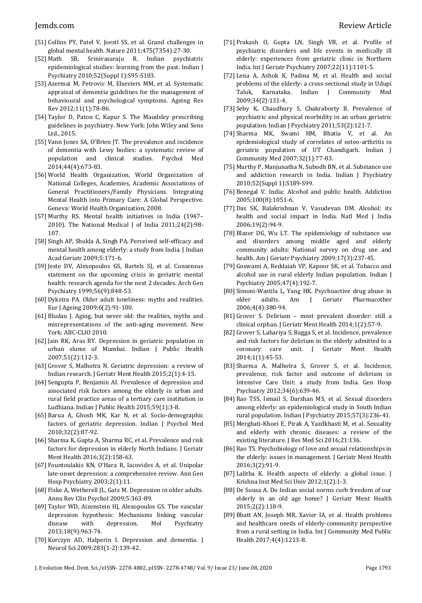- [51] Collins PY, Patel V, Joestl SS, et al. Grand challenges in global mental health. Nature 2011;475(7354):27-30.
- [52] Math SB, Srinivasaraju R. Indian psychiatric epidemiological studies: learning from the past. Indian J Psychiatry 2010;52(Suppl 1):S95-S103.
- [53] Azermai M, Petrovic M, Elseviers MM, et al. Systematic appraisal of dementia guidelines for the management of behavioural and psychological symptoms. Ageing Res Rev 2012;11(1):78-86.
- [54] Taylor D, Paton C, Kapur S. The Maudsley prescribing guidelines in psychiatry. New York: John Wiley and Sons Ltd., 2015.
- [55] Vann Jones SA, O'Brien JT. The prevalence and incidence of dementia with Lewy bodies: a systematic review of population and clinical studies. Psychol Med 2014;44(4):673-83.
- [56] World Health Organization, World Organization of National Colleges, Academies, Academic Associations of General Practitioners/Family Physicians. Integrating Mental Health into Primary Care: A Global Perspective. Geneva: World Health Organization, 2008.
- [57] Murthy RS. Mental health initiatives in India (1947– 2010). The National Medical J of India 2011;24(2):98- 107.
- [58] Singh AP, Shukla A, Singh PA. Perceived self-efficacy and mental health among elderly: a study from India. J Indian Acad Geriatr 2009;5:171-6.
- [59] Jeste DV, Alexopoulos GS, Bartels SJ, et al. Consensus statement on the upcoming crisis in geriatric mental health: research agenda for the next 2 decades. Arch Gen Psychiatry 1999;56(9):848-53.
- [60] Dykstra PA. Older adult loneliness: myths and realities. Eur J Ageing 2009;6(2):91-100.
- [61] Bludau J. Aging, but never old: the realities, myths and misrepresentations of the anti-aging movement. New York: ABC-CLIO 2010.
- [62] Jain RK, Aras RY. Depression in geriatric population in urban slums of Mumbai. Indian J Public Health 2007;51(2):112-3.
- [63] Grover S, Malhotra N. Geriatric depression: a review of Indian research. J Geriatr Ment Health 2015;2(1):4-15.
- [64] Sengupta P, Benjamin AI. Prevalence of depression and associated risk factors among the elderly in urban and rural field practice areas of a tertiary care institution in Ludhiana. Indian J Public Health 2015;59(1):3-8.
- [65] Barua A, Ghosh MK, Kar N, et al. Socio-demographic factors of geriatric depression. Indian J Psychol Med 2010;32(2):87-92.
- [66] Sharma K, Gupta A, Sharma RC, et al. Prevalence and risk factors for depression in elderly North Indians. J Geriatr Ment Health 2016;3(2):158-63.
- [67] Fountoulakis KN, O'Hara R, Iacovides A, et al. Unipolar late-onset depression: a comprehensive review. Ann Gen Hosp Psychiatry 2003;2(1):11.
- [68] Fiske A, Wetherell JL, Gatz M. Depression in older adults. Annu Rev Clin Psychol 2009;5:363-89.
- [69] Taylor WD, Aizenstein HJ, Alexopoulos GS. The vascular depression hypothesis: Mechanisms linking vascular disease with depression. Mol Psychiatry 2013;18(9):963-74.
- [70] Korczyn AD, Halperin I. Depression and dementia. J Neurol Sci 2009;283(1-2):139-42.
- [71] Prakash O, Gupta LN, Singh VB, et al. Profile of psychiatric disorders and life events in medically ill elderly: experiences from geriatric clinic in Northern India. Int J Geriatr Psychiatry 2007;22(11):1101-5.
- [72] Lena A, Ashok K, Padma M, et al. Health and social problems of the elderly: a cross-sectional study in Udupi Taluk, Karnataka. Indian J Community Med 2009;34(2):131-4.
- [73] Seby K, Chaudhury S, Chakraborty R. Prevalence of psychiatric and physical morbidity in an urban geriatric population. Indian J Psychiatry 2011;53(2):121-7.
- [74] Sharma MK, Swami HM, Bhatia V, et al. An epidemiological study of correlates of osteo-arthritis in geriatric population of UT Chandigarh. Indian J Community Med 2007;32(1):77-83.
- [75] Murthy P, Manjunatha N, Subodh BN, et al. Substance use and addiction research in India. Indian J Psychiatry 2010;52(Suppl 1):S189-S99.
- [76] Benegal V. India: Alcohol and public health. Addiction 2005;100(8):1051-6.
- [77] Das SK, Balakrishnan V, Vasudevan DM. Alcohol: its health and social impact in India. Natl Med J India 2006;19(2):94-9.
- [78] Blazer DG, Wu LT. The epidemiology of substance use and disorders among middle aged and elderly community adults: National survey on drug use and health. Am J Geriatr Psychiatry 2009;17(3):237-45.
- [79] Goswami A, Reddaiah VP, Kapoor SK, et al. Tobacco and alcohol use in rural elderly Indian population. Indian J Psychiatry 2005;47(4):192-7.
- [80] Simoni-Wastila L, Yang HK. Psychoactive drug abuse in older adults. Am J Geriatr Pharmacother 2006;4(4):380-94.
- [81] Grover S. Delirium most prevalent disorder: still a clinical orphan. J Geriatr Ment Health 2014;1(2):57-9.
- [82] Grover S, Lahariya S, Bagga S, et al. Incidence, prevalence and risk factors for delirium in the elderly admitted to a coronary care unit. J Geriatr Ment Health 2014;1(1):45-53.
- [83] Sharma A, Malhotra S, Grover S, et al. Incidence, prevalence, risk factor and outcome of delirium in Intensive Care Unit: a study from India. Gen Hosp Psychiatry 2012;34(6):639-46.
- [84] Rao TSS, Ismail S, Darshan MS, et al. Sexual disorders among elderly: an epidemiological study in South Indian rural population. Indian J Psychiatry 2015;57(3):236-41.
- [85] Merghati-Khoei E, Pirak A, Yazdkhasti M, et al. Sexuality and elderly with chronic diseases: a review of the existing literature. J Res Med Sci 2016;21:136.
- [86] Rao TS. Psychobiology of love and sexual relationships in the elderly: issues in management. J Geriatr Ment Health 2016;3(2):91-9.
- [87] Lalitha K. Health aspects of elderly: a global issue. J Krishna Inst Med Sci Univ 2012;1(2):1-3.
- [88] De Sousa A. Do Indian social norms curb freedom of our elderly in an old age home? J Geriatr Ment Health 2015;2(2):118-9.
- [89] Bhatt AN, Joseph MR, Xavier IA, et al. Health problems and healthcare needs of elderly-community perspective from a rural setting in India. Int J Community Med Public Health 2017;4(4):1213-8.